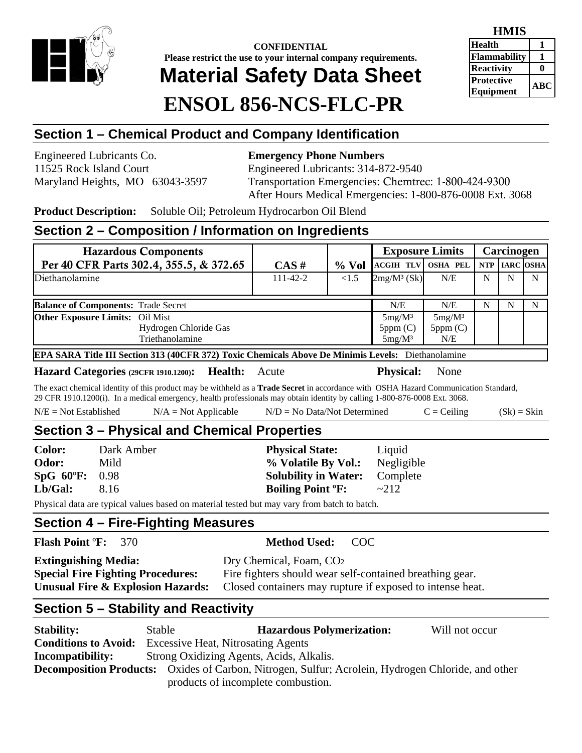

**CONFIDENTIAL Please restrict the use to your internal company requirements. Material Safety Data Sheet ENSOL 856-NCS-FLC-PR** 

| <b>HMIS</b>                           |     |  |
|---------------------------------------|-----|--|
| <b>Health</b>                         |     |  |
| Flammability                          |     |  |
| <b>Reactivity</b>                     |     |  |
| <b>Protective</b><br><b>Equipment</b> | ABC |  |

# **Section 1 – Chemical Product and Company Identification**

Engineered Lubricants Co. **Emergency Phone Numbers** 

11525 Rock Island Court Engineered Lubricants: 314-872-9540 Maryland Heights, MO 63043-3597 Transportation Emergencies: Chemtrec: 1-800-424-9300 After Hours Medical Emergencies: 1-800-876-0008 Ext. 3068

**Product Description:** Soluble Oil; Petroleum Hydrocarbon Oil Blend

#### **Section 2 – Composition / Information on Ingredients**

| <b>Hazardous Components</b>                                                                        |                |          |                                   | <b>Exposure Limits</b>      |            | Carcinogen       |  |
|----------------------------------------------------------------------------------------------------|----------------|----------|-----------------------------------|-----------------------------|------------|------------------|--|
| Per 40 CFR Parts 302.4, 355.5, & 372.65                                                            | CAS#           | $\%$ Vol | <b>ACGIH TLV OSHA PEL</b>         |                             | <b>NTP</b> | <b>IARC OSHA</b> |  |
| Diethanolamine                                                                                     | $111 - 42 - 2$ | <1.5     | $2mg/M^3$ (Sk)                    | N/E                         | N          | N                |  |
| <b>Balance of Components: Trade Secret</b><br>N/E<br>N/E<br>N<br>N                                 |                |          |                                   |                             |            |                  |  |
| <b>Other Exposure Limits:</b> Oil Mist<br>Hydrogen Chloride Gas<br>Triethanolamine                 |                |          | $5mg/M^3$<br>5ppm(C)<br>$5mg/M^3$ | $5mg/M^3$<br>5ppm(C)<br>N/E |            |                  |  |
| EPA SARA Title III Section 313 (40CFR 372) Toxic Chemicals Above De Minimis Levels: Diethanolamine |                |          |                                   |                             |            |                  |  |

**Hazard Categories (29CFR 1910.1200): Health:** Acute **Physical:** None

The exact chemical identity of this product may be withheld as a **Trade Secret** in accordance with OSHA Hazard Communication Standard, 29 CFR 1910.1200(i). In a medical emergency, health professionals may obtain identity by calling 1-800-876-0008 Ext. 3068.

|  | $N/E = Not Established$ | $N/A = Not Applicable$ | $N/D = No Data/Not Determine$ | $=$ Ceiling | $(Sk) = Skin$ |
|--|-------------------------|------------------------|-------------------------------|-------------|---------------|
|--|-------------------------|------------------------|-------------------------------|-------------|---------------|

# **Section 3 – Physical and Chemical Properties**

| <b>Color:</b>  | Dark Amber | <b>Physical State:</b>              | Liquid     |
|----------------|------------|-------------------------------------|------------|
| <b>Odor:</b>   | Mild       | % Volatile By Vol.:                 | Negligible |
| SpG 60°F: 0.98 |            | <b>Solubility in Water:</b>         | Complete   |
| Lb/Gal:        | 8.16       | <b>Boiling Point <sup>o</sup>F:</b> | $\sim$ 212 |

Physical data are typical values based on material tested but may vary from batch to batch.

#### **Section 4 – Fire-Fighting Measures**

| <b>Flash Point F:</b> 370                    | <b>Method Used: COC</b>                                   |
|----------------------------------------------|-----------------------------------------------------------|
| <b>Extinguishing Media:</b>                  | Dry Chemical, Foam, CO <sub>2</sub>                       |
| <b>Special Fire Fighting Procedures:</b>     | Fire fighters should wear self-contained breathing gear.  |
| <b>Unusual Fire &amp; Explosion Hazards:</b> | Closed containers may rupture if exposed to intense heat. |

#### **Section 5 – Stability and Reactivity**

| <b>Stability:</b>                                                                                         | Stable                                    | <b>Hazardous Polymerization:</b> | Will not occur |
|-----------------------------------------------------------------------------------------------------------|-------------------------------------------|----------------------------------|----------------|
| <b>Conditions to Avoid:</b>                                                                               | <b>Excessive Heat, Nitrosating Agents</b> |                                  |                |
| Strong Oxidizing Agents, Acids, Alkalis.<br>Incompatibility:                                              |                                           |                                  |                |
| <b>Decomposition Products:</b> Oxides of Carbon, Nitrogen, Sulfur; Acrolein, Hydrogen Chloride, and other |                                           |                                  |                |
| products of incomplete combustion.                                                                        |                                           |                                  |                |